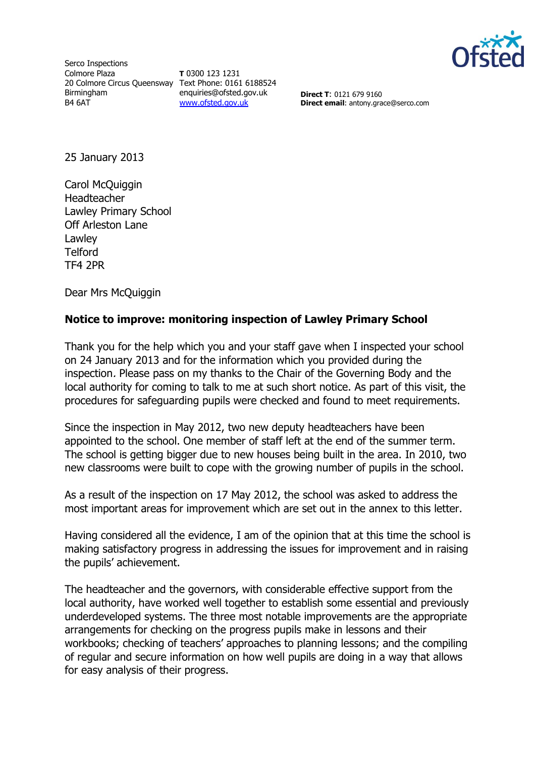

Serco Inspections Colmore Plaza 20 Colmore Circus Queensway Text Phone: 0161 6188524 Birmingham B4 6AT

**T** 0300 123 1231 enquiries@ofsted.gov.uk [www.ofsted.gov.uk](http://www.ofsted.gov.uk/)

**Direct T**: 0121 679 9160 **Direct email**: antony.grace@serco.com

25 January 2013

Carol McQuiggin Headteacher Lawley Primary School Off Arleston Lane Lawley **Telford** TF4 2PR

Dear Mrs McQuiggin

## **Notice to improve: monitoring inspection of Lawley Primary School**

Thank you for the help which you and your staff gave when I inspected your school on 24 January 2013 and for the information which you provided during the inspection. Please pass on my thanks to the Chair of the Governing Body and the local authority for coming to talk to me at such short notice. As part of this visit, the procedures for safeguarding pupils were checked and found to meet requirements.

Since the inspection in May 2012, two new deputy headteachers have been appointed to the school. One member of staff left at the end of the summer term. The school is getting bigger due to new houses being built in the area. In 2010, two new classrooms were built to cope with the growing number of pupils in the school.

As a result of the inspection on 17 May 2012, the school was asked to address the most important areas for improvement which are set out in the annex to this letter.

Having considered all the evidence, I am of the opinion that at this time the school is making satisfactory progress in addressing the issues for improvement and in raising the pupils' achievement.

The headteacher and the governors, with considerable effective support from the local authority, have worked well together to establish some essential and previously underdeveloped systems. The three most notable improvements are the appropriate arrangements for checking on the progress pupils make in lessons and their workbooks; checking of teachers' approaches to planning lessons; and the compiling of regular and secure information on how well pupils are doing in a way that allows for easy analysis of their progress.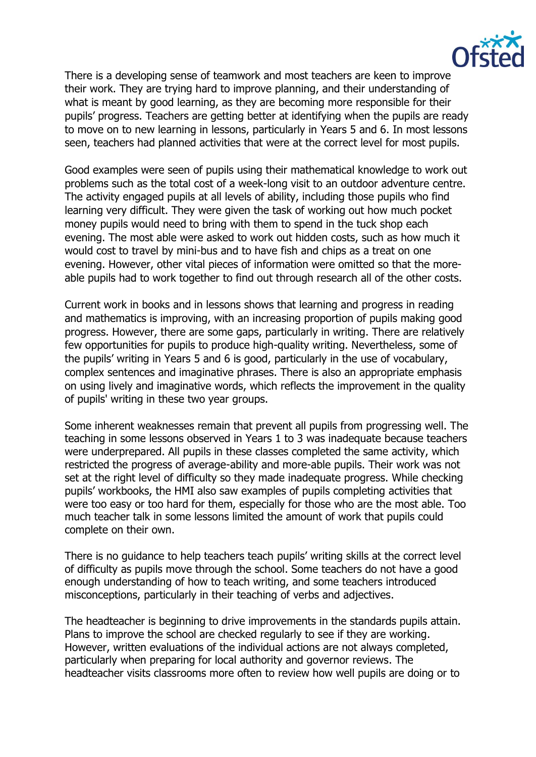

There is a developing sense of teamwork and most teachers are keen to improve their work. They are trying hard to improve planning, and their understanding of what is meant by good learning, as they are becoming more responsible for their pupils' progress. Teachers are getting better at identifying when the pupils are ready to move on to new learning in lessons, particularly in Years 5 and 6. In most lessons seen, teachers had planned activities that were at the correct level for most pupils.

Good examples were seen of pupils using their mathematical knowledge to work out problems such as the total cost of a week-long visit to an outdoor adventure centre. The activity engaged pupils at all levels of ability, including those pupils who find learning very difficult. They were given the task of working out how much pocket money pupils would need to bring with them to spend in the tuck shop each evening. The most able were asked to work out hidden costs, such as how much it would cost to travel by mini-bus and to have fish and chips as a treat on one evening. However, other vital pieces of information were omitted so that the moreable pupils had to work together to find out through research all of the other costs.

Current work in books and in lessons shows that learning and progress in reading and mathematics is improving, with an increasing proportion of pupils making good progress. However, there are some gaps, particularly in writing. There are relatively few opportunities for pupils to produce high-quality writing. Nevertheless, some of the pupils' writing in Years 5 and 6 is good, particularly in the use of vocabulary, complex sentences and imaginative phrases. There is also an appropriate emphasis on using lively and imaginative words, which reflects the improvement in the quality of pupils' writing in these two year groups.

Some inherent weaknesses remain that prevent all pupils from progressing well. The teaching in some lessons observed in Years 1 to 3 was inadequate because teachers were underprepared. All pupils in these classes completed the same activity, which restricted the progress of average-ability and more-able pupils. Their work was not set at the right level of difficulty so they made inadequate progress. While checking pupils' workbooks, the HMI also saw examples of pupils completing activities that were too easy or too hard for them, especially for those who are the most able. Too much teacher talk in some lessons limited the amount of work that pupils could complete on their own.

There is no guidance to help teachers teach pupils' writing skills at the correct level of difficulty as pupils move through the school. Some teachers do not have a good enough understanding of how to teach writing, and some teachers introduced misconceptions, particularly in their teaching of verbs and adjectives.

The headteacher is beginning to drive improvements in the standards pupils attain. Plans to improve the school are checked regularly to see if they are working. However, written evaluations of the individual actions are not always completed, particularly when preparing for local authority and governor reviews. The headteacher visits classrooms more often to review how well pupils are doing or to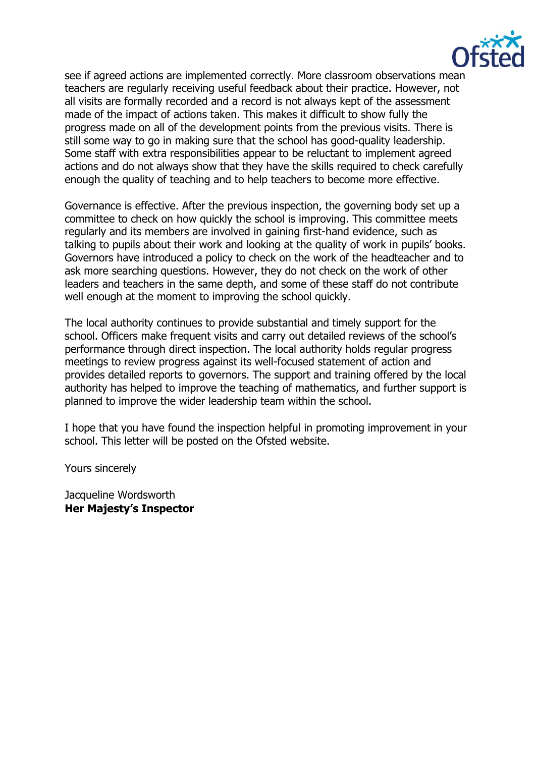

see if agreed actions are implemented correctly. More classroom observations mean teachers are regularly receiving useful feedback about their practice. However, not all visits are formally recorded and a record is not always kept of the assessment made of the impact of actions taken. This makes it difficult to show fully the progress made on all of the development points from the previous visits. There is still some way to go in making sure that the school has good-quality leadership. Some staff with extra responsibilities appear to be reluctant to implement agreed actions and do not always show that they have the skills required to check carefully enough the quality of teaching and to help teachers to become more effective.

Governance is effective. After the previous inspection, the governing body set up a committee to check on how quickly the school is improving. This committee meets regularly and its members are involved in gaining first-hand evidence, such as talking to pupils about their work and looking at the quality of work in pupils' books. Governors have introduced a policy to check on the work of the headteacher and to ask more searching questions. However, they do not check on the work of other leaders and teachers in the same depth, and some of these staff do not contribute well enough at the moment to improving the school quickly.

The local authority continues to provide substantial and timely support for the school. Officers make frequent visits and carry out detailed reviews of the school's performance through direct inspection. The local authority holds regular progress meetings to review progress against its well-focused statement of action and provides detailed reports to governors. The support and training offered by the local authority has helped to improve the teaching of mathematics, and further support is planned to improve the wider leadership team within the school.

I hope that you have found the inspection helpful in promoting improvement in your school. This letter will be posted on the Ofsted website.

Yours sincerely

Jacqueline Wordsworth **Her Majesty's Inspector**